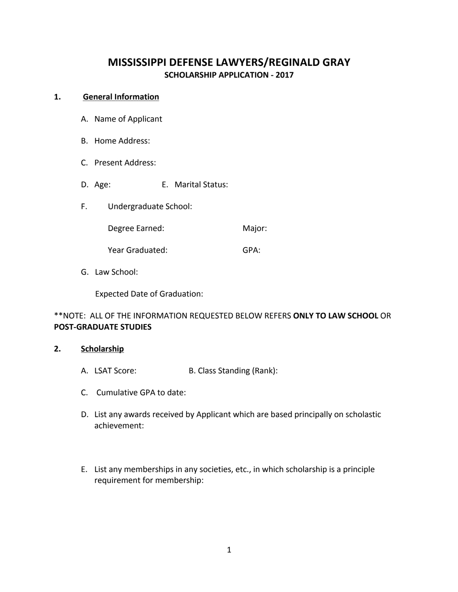# **MISSISSIPPI DEFENSE LAWYERS/REGINALD GRAY SCHOLARSHIP APPLICATION - 2017**

#### 1. **General Information**

- A. Name of Applicant
- B. Home Address:
- C. Present Address:
- D. Age: E. Marital Status:
- F. Undergraduate School:

Degree Earned: Major:

Year Graduated: GPA:

G. Law School:

Expected Date of Graduation:

## \*\*NOTE: ALL OF THE INFORMATION REQUESTED BELOW REFERS **ONLY TO LAW SCHOOL** OR **POST-GRADUATE STUDIES**

#### **2. Scholarship**

- A. LSAT Score: B. Class Standing (Rank):
- C. Cumulative GPA to date:
- D. List any awards received by Applicant which are based principally on scholastic achievement:
- E. List any memberships in any societies, etc., in which scholarship is a principle requirement for membership: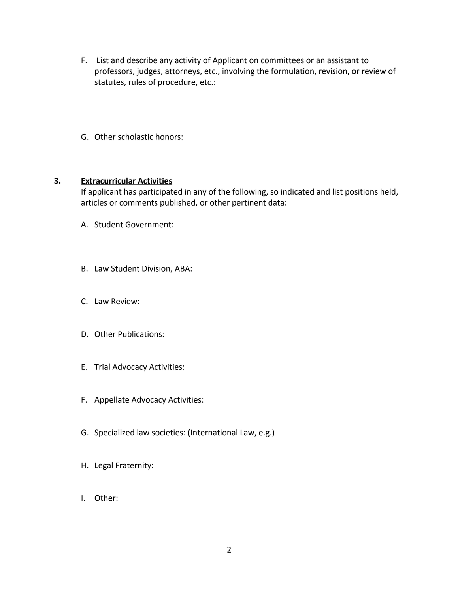- F. List and describe any activity of Applicant on committees or an assistant to professors, judges, attorneys, etc., involving the formulation, revision, or review of statutes, rules of procedure, etc.:
- G. Other scholastic honors:

### **3. Extracurricular Activities**

If applicant has participated in any of the following, so indicated and list positions held, articles or comments published, or other pertinent data:

- A. Student Government:
- B. Law Student Division, ABA:
- C. Law Review:
- D. Other Publications:
- E. Trial Advocacy Activities:
- F. Appellate Advocacy Activities:
- G. Specialized law societies: (International Law, e.g.)
- H. Legal Fraternity:
- I. Other: